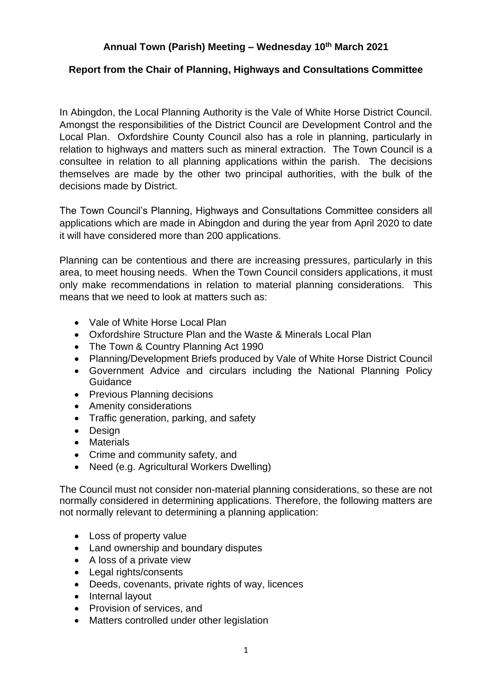# **Annual Town (Parish) Meeting – Wednesday 10th March 2021**

## **Report from the Chair of Planning, Highways and Consultations Committee**

In Abingdon, the Local Planning Authority is the Vale of White Horse District Council. Amongst the responsibilities of the District Council are Development Control and the Local Plan. Oxfordshire County Council also has a role in planning, particularly in relation to highways and matters such as mineral extraction. The Town Council is a consultee in relation to all planning applications within the parish. The decisions themselves are made by the other two principal authorities, with the bulk of the decisions made by District.

The Town Council's Planning, Highways and Consultations Committee considers all applications which are made in Abingdon and during the year from April 2020 to date it will have considered more than 200 applications.

Planning can be contentious and there are increasing pressures, particularly in this area, to meet housing needs. When the Town Council considers applications, it must only make recommendations in relation to material planning considerations. This means that we need to look at matters such as:

- Vale of White Horse Local Plan
- Oxfordshire Structure Plan and the Waste & Minerals Local Plan
- The Town & Country Planning Act 1990
- Planning/Development Briefs produced by Vale of White Horse District Council
- Government Advice and circulars including the National Planning Policy **Guidance**
- Previous Planning decisions
- Amenity considerations
- Traffic generation, parking, and safety
- Design
- Materials
- Crime and community safety, and
- Need (e.g. Agricultural Workers Dwelling)

The Council must not consider non-material planning considerations, so these are not normally considered in determining applications. Therefore, the following matters are not normally relevant to determining a planning application:

- Loss of property value
- Land ownership and boundary disputes
- A loss of a private view
- Legal rights/consents
- Deeds, covenants, private rights of way, licences
- Internal lavout
- Provision of services, and
- Matters controlled under other legislation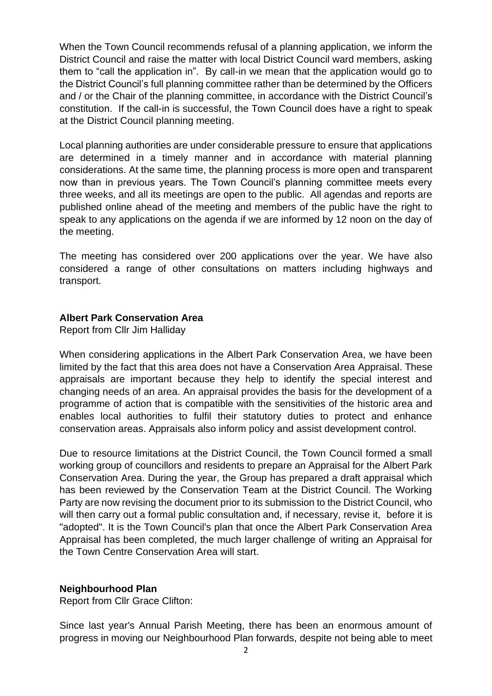When the Town Council recommends refusal of a planning application, we inform the District Council and raise the matter with local District Council ward members, asking them to "call the application in". By call-in we mean that the application would go to the District Council's full planning committee rather than be determined by the Officers and / or the Chair of the planning committee, in accordance with the District Council's constitution. If the call-in is successful, the Town Council does have a right to speak at the District Council planning meeting.

Local planning authorities are under considerable pressure to ensure that applications are determined in a timely manner and in accordance with material planning considerations. At the same time, the planning process is more open and transparent now than in previous years. The Town Council's planning committee meets every three weeks, and all its meetings are open to the public. All agendas and reports are published online ahead of the meeting and members of the public have the right to speak to any applications on the agenda if we are informed by 12 noon on the day of the meeting.

The meeting has considered over 200 applications over the year. We have also considered a range of other consultations on matters including highways and transport.

### **Albert Park Conservation Area**

Report from Cllr Jim Halliday

When considering applications in the Albert Park Conservation Area, we have been limited by the fact that this area does not have a Conservation Area Appraisal. These appraisals are important because they help to identify the special interest and changing needs of an area. An appraisal provides the basis for the development of a programme of action that is compatible with the sensitivities of the historic area and enables local authorities to fulfil their statutory duties to protect and enhance conservation areas. Appraisals also inform policy and assist development control.

Due to resource limitations at the District Council, the Town Council formed a small working group of councillors and residents to prepare an Appraisal for the Albert Park Conservation Area. During the year, the Group has prepared a draft appraisal which has been reviewed by the Conservation Team at the District Council. The Working Party are now revising the document prior to its submission to the District Council, who will then carry out a formal public consultation and, if necessary, revise it, before it is "adopted". It is the Town Council's plan that once the Albert Park Conservation Area Appraisal has been completed, the much larger challenge of writing an Appraisal for the Town Centre Conservation Area will start.

### **Neighbourhood Plan**

Report from Cllr Grace Clifton:

Since last year's Annual Parish Meeting, there has been an enormous amount of progress in moving our Neighbourhood Plan forwards, despite not being able to meet